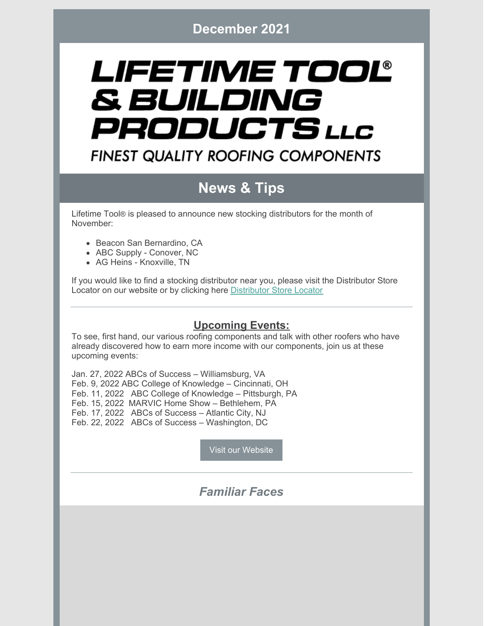# LIFETIME TOOL® & BUILDING PRODUCTS LLC **FINEST QUALITY ROOFING COMPONENTS**

## **News & Tips**

Lifetime Tool® is pleased to announce new stocking distributors for the month of November:

- Beacon San Bernardino, CA
- ABC Supply Conover, NC
- AG Heins Knoxville, TN

If you would like to find a stocking distributor near you, please visit the Distributor Store Locator on our website or by clicking here [Distributor](https://lifetimetool.com/store-locator/) Store Locator

#### **Upcoming Events:**

To see, first hand, our various roofing components and talk with other roofers who have already discovered how to earn more income with our components, join us at these upcoming events:

Jan. 27, 2022 ABCs of Success – Williamsburg, VA Feb. 9, 2022 ABC College of Knowledge – Cincinnati, OH Feb. 11, 2022 ABC College of Knowledge – Pittsburgh, PA Feb. 15, 2022 MARVIC Home Show – Bethlehem, PA Feb. 17, 2022 ABCs of Success – Atlantic City, NJ Feb. 22, 2022 ABCs of Success – Washington, DC

Visit our [Website](https://lifetimetool.com/)

#### *Familiar Faces*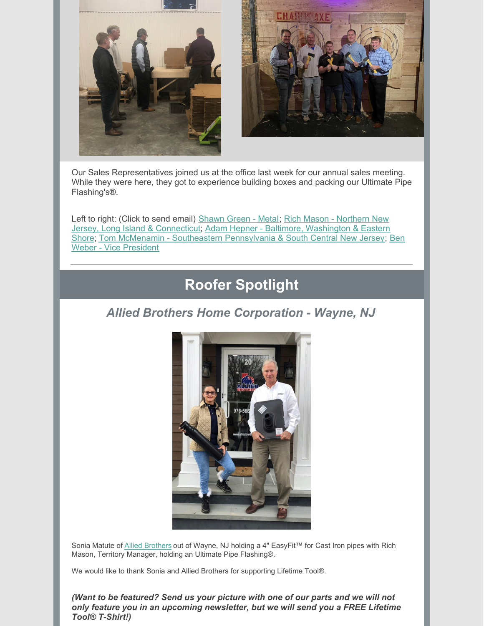



Our Sales Representatives joined us at the office last week for our annual sales meeting. While they were here, they got to experience building boxes and packing our Ultimate Pipe Flashing's®.

Left to right: (Click to send email) [Shawn](mailto:SGreen@LifetimeTool.com) Green - Metal; Rich Mason - Northern New Jersey, Long Island & [Connecticut;](mailto:AHepner@LifetimeTool.com) Adam Hepner - Baltimore, Washington & Eastern Shore; Tom McMenamin - Southeastern [Pennsylvania](mailto:BWeber@LifetimeTool.com) & South Central New Jersey; Ben Weber - Vice President

### **Roofer Spotlight**

#### *Allied Brothers Home Corporation - Wayne, NJ*



Sonia Matute of Allied [Brothers](http://alliedbrothers.net) out of Wayne, NJ holding a 4" EasyFit™ for Cast Iron pipes with Rich Mason, Territory Manager, holding an Ultimate Pipe Flashing®.

We would like to thank Sonia and Allied Brothers for supporting Lifetime Tool®.

*(Want to be featured? Send us your picture with one of our parts and we will not only feature you in an upcoming newsletter, but we will send you a FREE Lifetime Tool® T-Shirt!)*